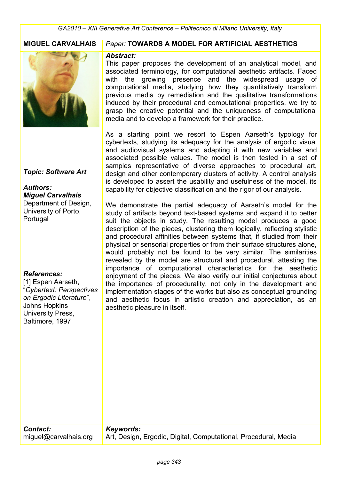*GA2010 – XIII Generative Art Conference – Politecnico di Milano University, Italy*

### **MIGUEL CARVALHAIS** *Paper:* **TOWARDS A MODEL FOR ARTIFICIAL AESTHETICS**



*Abstract:* This paper proposes the development of an analytical model, and associated terminology, for computational aesthetic artifacts. Faced with the growing presence and the widespread usage of computational media, studying how they quantitatively transform previous media by remediation and the qualitative transformations induced by their procedural and computational properties, we try to grasp the creative potential and the uniqueness of computational media and to develop a framework for their practice.

As a starting point we resort to Espen Aarseth's typology for cybertexts, studying its adequacy for the analysis of ergodic visual and audiovisual systems and adapting it with new variables and associated possible values. The model is then tested in a set of samples representative of diverse approaches to procedural art, design and other contemporary clusters of activity. A control analysis is developed to assert the usability and usefulness of the model, its capability for objective classification and the rigor of our analysis.

We demonstrate the partial adequacy of Aarseth's model for the study of artifacts beyond text-based systems and expand it to better suit the objects in study. The resulting model produces a good description of the pieces, clustering them logically, reflecting stylistic and procedural affinities between systems that, if studied from their physical or sensorial properties or from their surface structures alone, would probably not be found to be very similar. The similarities revealed by the model are structural and procedural, attesting the importance of computational characteristics for the aesthetic enjoyment of the pieces. We also verify our initial conjectures about the importance of procedurality, not only in the development and implementation stages of the works but also as conceptual grounding and aesthetic focus in artistic creation and appreciation, as an aesthetic pleasure in itself.

*Topic: Software Art*

*Authors: Miguel Carvalhais* Department of Design, University of Porto, Portugal

#### *References:*

[1] Espen Aarseth, "*Cybertext: Perspectives on Ergodic Literature*", Johns Hopkins University Press, Baltimore, 1997

*Contact:* miguel@carvalhais.org *Keywords:*  Art, Design, Ergodic, Digital, Computational, Procedural, Media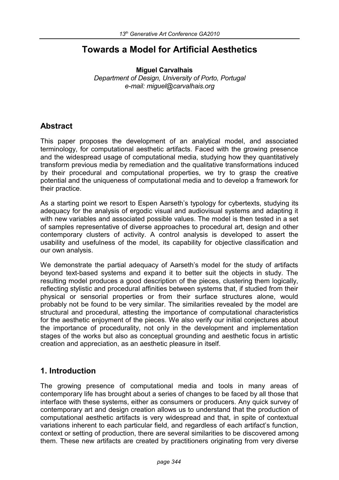# **Towards a Model for Artificial Aesthetics**

**Miguel Carvalhais** *Department of Design, University of Porto, Portugal e-mail: miguel@carvalhais.org*

## **Abstract**

This paper proposes the development of an analytical model, and associated terminology, for computational aesthetic artifacts. Faced with the growing presence and the widespread usage of computational media, studying how they quantitatively transform previous media by remediation and the qualitative transformations induced by their procedural and computational properties, we try to grasp the creative potential and the uniqueness of computational media and to develop a framework for their practice.

As a starting point we resort to Espen Aarseth's typology for cybertexts, studying its adequacy for the analysis of ergodic visual and audiovisual systems and adapting it with new variables and associated possible values. The model is then tested in a set of samples representative of diverse approaches to procedural art, design and other contemporary clusters of activity. A control analysis is developed to assert the usability and usefulness of the model, its capability for objective classification and our own analysis.

We demonstrate the partial adequacy of Aarseth's model for the study of artifacts beyond text-based systems and expand it to better suit the objects in study. The resulting model produces a good description of the pieces, clustering them logically, reflecting stylistic and procedural affinities between systems that, if studied from their physical or sensorial properties or from their surface structures alone, would probably not be found to be very similar. The similarities revealed by the model are structural and procedural, attesting the importance of computational characteristics for the aesthetic enjoyment of the pieces. We also verify our initial conjectures about the importance of procedurality, not only in the development and implementation stages of the works but also as conceptual grounding and aesthetic focus in artistic creation and appreciation, as an aesthetic pleasure in itself.

### **1. Introduction**

The growing presence of computational media and tools in many areas of contemporary life has brought about a series of changes to be faced by all those that interface with these systems, either as consumers or producers. Any quick survey of contemporary art and design creation allows us to understand that the production of computational aesthetic artifacts is very widespread and that, in spite of contextual variations inherent to each particular field, and regardless of each artifact's function, context or setting of production, there are several similarities to be discovered among them. These new artifacts are created by practitioners originating from very diverse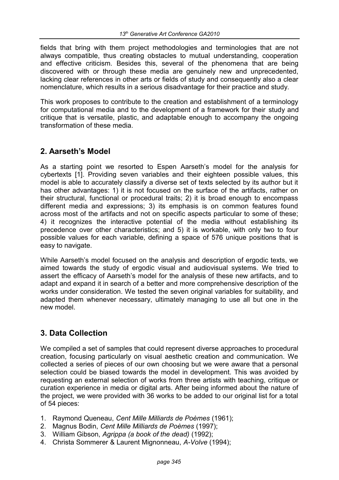fields that bring with them project methodologies and terminologies that are not always compatible, thus creating obstacles to mutual understanding, cooperation and effective criticism. Besides this, several of the phenomena that are being discovered with or through these media are genuinely new and unprecedented, lacking clear references in other arts or fields of study and consequently also a clear nomenclature, which results in a serious disadvantage for their practice and study.

This work proposes to contribute to the creation and establishment of a terminology for computational media and to the development of a framework for their study and critique that is versatile, plastic, and adaptable enough to accompany the ongoing transformation of these media.

### **2. Aarseth's Model**

As a starting point we resorted to Espen Aarseth's model for the analysis for cybertexts [1]. Providing seven variables and their eighteen possible values, this model is able to accurately classify a diverse set of texts selected by its author but it has other advantages: 1) it is not focused on the surface of the artifacts, rather on their structural, functional or procedural traits; 2) it is broad enough to encompass different media and expressions; 3) its emphasis is on common features found across most of the artifacts and not on specific aspects particular to some of these; 4) it recognizes the interactive potential of the media without establishing its precedence over other characteristics; and 5) it is workable, with only two to four possible values for each variable, defining a space of 576 unique positions that is easy to navigate.

While Aarseth's model focused on the analysis and description of ergodic texts, we aimed towards the study of ergodic visual and audiovisual systems. We tried to assert the efficacy of Aarseth's model for the analysis of these new artifacts, and to adapt and expand it in search of a better and more comprehensive description of the works under consideration. We tested the seven original variables for suitability, and adapted them whenever necessary, ultimately managing to use all but one in the new model.

## **3. Data Collection**

We compiled a set of samples that could represent diverse approaches to procedural creation, focusing particularly on visual aesthetic creation and communication. We collected a series of pieces of our own choosing but we were aware that a personal selection could be biased towards the model in development. This was avoided by requesting an external selection of works from three artists with teaching, critique or curation experience in media or digital arts. After being informed about the nature of the project, we were provided with 36 works to be added to our original list for a total of 54 pieces:

- 1. Raymond Queneau, *Cent Mille Milliards de Poèmes* (1961);
- 2. Magnus Bodin, *Cent Mille Milliards de Poèmes* (1997);
- 3. William Gibson, *Agrippa (a book of the dead)* (1992);
- 4. Christa Sommerer & Laurent Mignonneau, *A-Volve* (1994);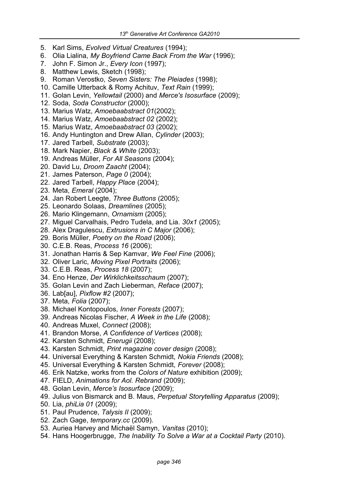- 5. Karl Sims, *Evolved Virtual Creatures* (1994);
- 6. Olia Lialina, *My Boyfriend Came Back From the War* (1996);
- 7. John F. Simon Jr., *Every Icon* (1997);
- 8. Matthew Lewis, Sketch (1998);
- 9. Roman Verostko, *Seven Sisters: The Pleiades* (1998);
- 10. Camille Utterback & Romy Achituv, *Text Rain* (1999);
- 11. Golan Levin, *Yellowtail* (2000) and *Merce's Isosurface* (2009);
- 12. Soda, *Soda Constructor* (2000);
- 13. Marius Watz, *Amoebaabstract 01*(2002);
- 14. Marius Watz, *Amoebaabstract 02* (2002);
- 15. Marius Watz, *Amoebaabstract 03* (2002);
- 16. Andy Huntington and Drew Allan, *Cylinder* (2003);
- 17. Jared Tarbell, *Substrate* (2003);
- 18. Mark Napier, *Black & White* (2003);
- 19. Andreas Müller, *For All Seasons* (2004);
- 20. David Lu, *Droom Zaacht* (2004);
- 21. James Paterson, *Page 0* (2004);
- 22. Jared Tarbell, *Happy Place* (2004);
- 23. Meta, *Emeral* (2004);
- 24. Jan Robert Leegte, *Three Buttons* (2005);
- 25. Leonardo Solaas, *Dreamlines* (2005);
- 26. Mario Klingemann, *Ornamism* (2005);
- 27. Miguel Carvalhais, Pedro Tudela, and Lia. *30x1* (2005);
- 28. Alex Dragulescu, *Extrusions in C Major* (2006);
- 29. Boris Müller, *Poetry on the Road* (2006);
- 30. C.E.B. Reas, *Process 16* (2006);
- 31. Jonathan Harris & Sep Kamvar, *We Feel Fine* (2006);
- 32. Oliver Laric, *Moving Pixel Portraits* (2006);
- 33. C.E.B. Reas, *Process 18* (2007);
- 34. Eno Henze, *Der Wirklichkeitsschaum* (2007);
- 35. Golan Levin and Zach Lieberman, *Reface* (2007);
- 36. Lab[au], *Pixflow #2* (2007);
- 37. Meta, *Folia* (2007);
- 38. Michael Kontopoulos, *Inner Forests* (2007);
- 39. Andreas Nicolas Fischer, *A Week in the Life* (2008);
- 40. Andreas Muxel, *Connect* (2008);
- 41. Brandon Morse, *A Confidence of Vertices* (2008);
- 42. Karsten Schmidt, *Enerugii* (2008);
- 43. Karsten Schmidt, *Print magazine cover design* (2008);
- 44. Universal Everything & Karsten Schmidt, *Nokia Friends* (2008);
- 45. Universal Everything & Karsten Schmidt, *Forever* (2008);
- 46. Erik Natzke, works from the *Colors of Nature* exhibition (2009);
- 47. FIELD, *Animations for Aol. Rebrand* (2009);
- 48. Golan Levin, *Merce's Isosurface* (2009);
- 49. Julius von Bismarck and B. Maus, *Perpetual Storytelling Apparatus* (2009);
- 50. Lia, *phiLia 01* (2009);
- 51. Paul Prudence, *Talysis II* (2009);
- 52. Zach Gage, *temporary.cc* (2009).
- 53. Auriea Harvey and Michaël Samyn, *Vanitas* (2010);
- 54. Hans Hoogerbrugge, *The Inability To Solve a War at a Cocktail Party* (2010).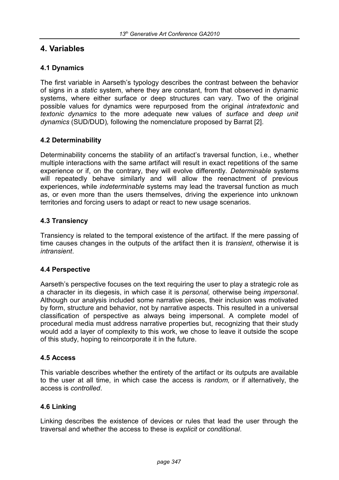### **4. Variables**

#### **4.1 Dynamics**

The first variable in Aarseth's typology describes the contrast between the behavior of signs in a *static* system, where they are constant, from that observed in dynamic systems, where either surface or deep structures can vary. Two of the original possible values for dynamics were repurposed from the original *intratextonic* and *textonic dynamics* to the more adequate new values of *surface* and *deep unit dynamics* (SUD/DUD)*,* following the nomenclature proposed by Barrat [2].

#### **4.2 Determinability**

Determinability concerns the stability of an artifact's traversal function, i.e., whether multiple interactions with the same artifact will result in exact repetitions of the same experience or if, on the contrary, they will evolve differently. *Determinable* systems will repeatedly behave similarly and will allow the reenactment of previous experiences, while *indeterminable* systems may lead the traversal function as much as, or even more than the users themselves, driving the experience into unknown territories and forcing users to adapt or react to new usage scenarios.

#### **4.3 Transiency**

Transiency is related to the temporal existence of the artifact. If the mere passing of time causes changes in the outputs of the artifact then it is *transient*, otherwise it is *intransient*.

#### **4.4 Perspective**

Aarseth's perspective focuses on the text requiring the user to play a strategic role as a character in its diegesis, in which case it is *personal,* otherwise being *impersonal*. Although our analysis included some narrative pieces, their inclusion was motivated by form, structure and behavior, not by narrative aspects. This resulted in a universal classification of perspective as always being impersonal. A complete model of procedural media must address narrative properties but, recognizing that their study would add a layer of complexity to this work, we chose to leave it outside the scope of this study, hoping to reincorporate it in the future.

#### **4.5 Access**

This variable describes whether the entirety of the artifact or its outputs are available to the user at all time, in which case the access is *random,* or if alternatively, the access is *controlled*.

#### **4.6 Linking**

Linking describes the existence of devices or rules that lead the user through the traversal and whether the access to these is *explicit* or *conditional*.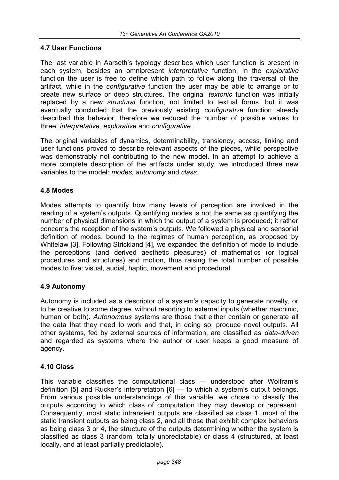#### **4.7 User Functions**

The last variable in Aarseth's typology describes which user function is present in each system, besides an omnipresent *interpretative* function. In the *explorative*  function the user is free to define which path to follow along the traversal of the artifact, while in the *configurative* function the user may be able to arrange or to create new surface or deep structures. The original *textonic* function was initially replaced by a new *structural* function, not limited to textual forms, but it was eventually concluded that the previously existing *configurative* function already described this behavior, therefore we reduced the number of possible values to three: *interpretative, explorative* and *configurative*.

The original variables of dynamics, determinability, transiency, access, linking and user functions proved to describe relevant aspects of the pieces, while perspective was demonstrably not contributing to the new model. In an attempt to achieve a more complete description of the artifacts under study, we introduced three new variables to the model: *modes, autonomy* and *class*.

#### **4.8 Modes**

Modes attempts to quantify how many levels of perception are involved in the reading of a system's outputs. Quantifying modes is not the same as quantifying the number of physical dimensions in which the output of a system is produced; it rather concerns the reception of the system's outputs. We followed a physical and sensorial definition of modes, bound to the regimes of human perception, as proposed by Whitelaw [3]. Following Strickland [4], we expanded the definition of mode to include the perceptions (and derived aesthetic pleasures) of mathematics (or logical procedures and structures) and motion, thus raising the total number of possible modes to five: visual, audial, haptic, movement and procedural.

#### **4.9 Autonomy**

Autonomy is included as a descriptor of a system's capacity to generate novelty, or to be creative to some degree, without resorting to external inputs (whether machinic, human or both). *Autonomous* systems are those that either contain or generate all the data that they need to work and that, in doing so, produce novel outputs. All other systems, fed by external sources of information, are classified as *data-driven*  and regarded as systems where the author or user keeps a good measure of agency.

#### **4.10 Class**

This variable classifies the computational class — understood after Wolfram's definition [5] and Rucker's interpretation [6] — to which a system's output belongs. From various possible understandings of this variable, we chose to classify the outputs according to which class of computation they may develop or represent. Consequently, most static intransient outputs are classified as class 1, most of the static transient outputs as being class 2, and all those that exhibit complex behaviors as being class 3 or 4, the structure of the outputs determining whether the system is classified as class 3 (random, totally unpredictable) or class 4 (structured, at least locally, and at least partially predictable).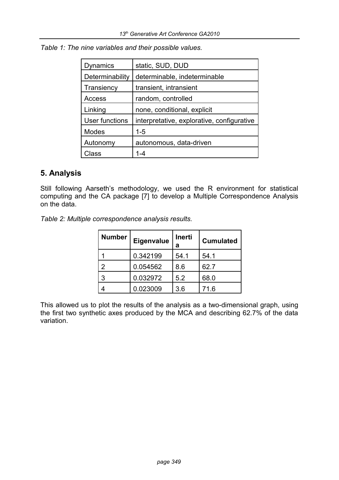| <b>Dynamics</b>                                 | static, SUD, DUD                           |  |  |  |  |
|-------------------------------------------------|--------------------------------------------|--|--|--|--|
| determinable, indeterminable<br>Determinability |                                            |  |  |  |  |
| Transiency                                      | transient, intransient                     |  |  |  |  |
| Access                                          | random, controlled                         |  |  |  |  |
| Linking                                         | none, conditional, explicit                |  |  |  |  |
| User functions                                  | interpretative, explorative, configurative |  |  |  |  |
| Modes                                           | $1 - 5$                                    |  |  |  |  |
| Autonomy                                        | autonomous, data-driven                    |  |  |  |  |
| Class                                           | 1-4                                        |  |  |  |  |

*Table 1: The nine variables and their possible values.*

## **5. Analysis**

Still following Aarseth's methodology, we used the R environment for statistical computing and the CA package [7] to develop a Multiple Correspondence Analysis on the data.

*Table 2: Multiple correspondence analysis results.*

| <b>Number</b> | Eigenvalue | <b>Inerti</b><br>а | <b>Cumulated</b> |
|---------------|------------|--------------------|------------------|
|               | 0.342199   | 54.1               | 54.1             |
|               | 0.054562   | 8.6                | 62.7             |
| 3             | 0.032972   | 5.2                | 68.0             |
|               | 0.023009   | 3.6                | 71.6             |

This allowed us to plot the results of the analysis as a two-dimensional graph, using the first two synthetic axes produced by the MCA and describing 62.7% of the data variation.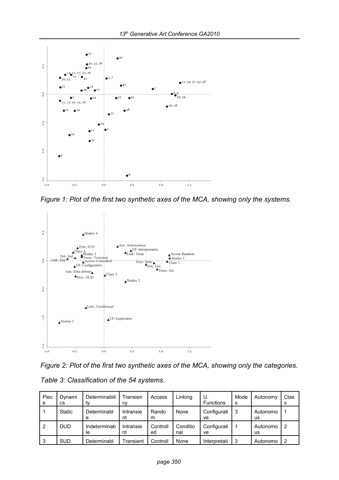

*Figure 1: Plot of the first two synthetic axes of the MCA, showing only the systems.*



*Figure 2: Plot of the first two synthetic axes of the MCA, showing only the categories.*

*Table 3: Classification of the 54 systems.*

| Piec<br>е | Dynami<br>CS  | Determinabili<br>tv | Transien<br>c٧       | Access         | Linking         | U.<br><b>Functions</b> | Mode<br>s | Autonomy       | Clas |
|-----------|---------------|---------------------|----------------------|----------------|-----------------|------------------------|-----------|----------------|------|
|           | <b>Static</b> | Determinabl<br>е    | Intransie<br>nt      | Rando<br>m     | None            | Configurati<br>ve      | 3         | Autonomo<br>us |      |
|           | <b>DUD</b>    | Indeterminab<br>le  | Intransie<br>nt      | Controll<br>ed | Conditio<br>nal | Configurati<br>ve      |           | Autonomo<br>us |      |
|           | <b>SUD</b>    | Determinabl         | <sup>r</sup> ansient | Controll       | None            | Interpretati           |           | Autonomo       |      |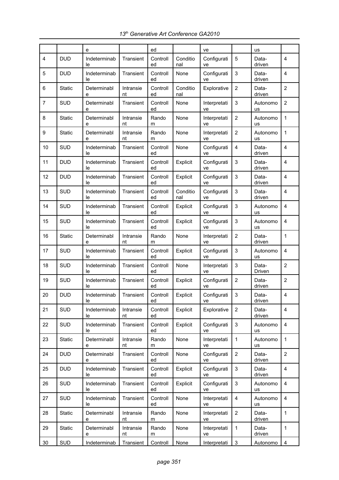|                |               | е                  |                  | ed             |                 | ve                 |                           | us              |                         |
|----------------|---------------|--------------------|------------------|----------------|-----------------|--------------------|---------------------------|-----------------|-------------------------|
| 4              | <b>DUD</b>    | Indeterminab<br>le | Transient        | Controll<br>ed | Conditio<br>nal | Configurati<br>ve  | 5                         | Data-<br>driven | 4                       |
| 5              | <b>DUD</b>    | Indeterminab<br>le | <b>Transient</b> | Controll<br>ed | None            | Configurati<br>ve  | 3                         | Data-<br>driven | $\overline{4}$          |
| 6              | Static        | Determinabl<br>е   | Intransie<br>nt  | Controll<br>ed | Conditio<br>nal | Explorative        | $\overline{2}$            | Data-<br>driven | $\overline{2}$          |
| $\overline{7}$ | <b>SUD</b>    | Determinabl<br>е   | Transient        | Controll<br>ed | None            | Interpretati<br>ve | 3                         | Autonomo<br>us  | $\overline{2}$          |
| 8              | Static        | Determinabl<br>е   | Intransie<br>nt  | Rando<br>m     | None            | Interpretati<br>ve | $\overline{2}$            | Autonomo<br>us  | 1                       |
| 9              | Static        | Determinabl<br>е   | Intransie<br>nt  | Rando<br>m     | None            | Interpretati<br>ve | $\overline{2}$            | Autonomo<br>us  | 1                       |
| 10             | SUD           | Indeterminab<br>le | Transient        | Controll<br>ed | None            | Configurati<br>ve  | $\overline{4}$            | Data-<br>driven | $\overline{\mathbf{4}}$ |
| 11             | <b>DUD</b>    | Indeterminab<br>le | Transient        | Controll<br>ed | Explicit        | Configurati<br>ve  | 3                         | Data-<br>driven | $\overline{4}$          |
| 12             | <b>DUD</b>    | Indeterminab<br>le | Transient        | Controll<br>ed | Explicit        | Configurati<br>ve  | 3                         | Data-<br>driven | $\overline{\mathbf{4}}$ |
| 13             | SUD           | Indeterminab<br>le | Transient        | Controll<br>ed | Conditio<br>nal | Configurati<br>ve  | 3                         | Data-<br>driven | $\overline{4}$          |
| 14             | SUD           | Indeterminab<br>le | Transient        | Controll<br>ed | Explicit        | Configurati<br>ve  | 3                         | Autonomo<br>us  | $\overline{4}$          |
| 15             | SUD           | Indeterminab<br>le | Transient        | Controll<br>ed | Explicit        | Configurati<br>ve  | 3                         | Autonomo<br>us  | 4                       |
| 16             | Static        | Determinabl<br>е   | Intransie<br>nt  | Rando<br>m     | None            | Interpretati<br>ve | $\overline{2}$            | Data-<br>driven | 1                       |
| 17             | <b>SUD</b>    | Indeterminab<br>le | Transient        | Controll<br>ed | Explicit        | Configurati<br>ve  | 3                         | Autonomo<br>us  | $\overline{4}$          |
| 18             | <b>SUD</b>    | Indeterminab<br>le | Transient        | Controll<br>ed | None            | Interpretati<br>ve | 3                         | Data-<br>Driven | $\overline{2}$          |
| 19             | SUD           | Indeterminab<br>le | Transient        | Controll<br>ed | Explicit        | Configurati<br>ve  | $\overline{2}$            | Data-<br>driven | $\overline{2}$          |
| 20             | <b>DUD</b>    | Indeterminab<br>le | Transient        | Controll<br>ed | Explicit        | Configurati<br>ve  | 3                         | Data-<br>driven | 4                       |
| 21             | SUD           | Indeterminab<br>le | Intransie<br>nt  | Controll<br>ed | Explicit        | Explorative        | $\overline{2}$            | Data-<br>driven | $\overline{4}$          |
| 22             | <b>SUD</b>    | Indeterminab<br>le | Transient        | Controll<br>ed | Explicit        | Configurati<br>ve  | 3                         | Autonomo<br>us  | $\overline{4}$          |
| 23             | Static        | Determinabl<br>е   | Intransie<br>nt  | Rando<br>m     | None            | Interpretati<br>ve | $\mathbf{1}$              | Autonomo<br>us  | $\mathbf{1}$            |
| 24             | <b>DUD</b>    | Determinabl<br>е   | Transient        | Controll<br>ed | None            | Configurati<br>ve  | $\overline{2}$            | Data-<br>driven | $\overline{2}$          |
| 25             | <b>DUD</b>    | Indeterminab<br>le | Transient        | Controll<br>ed | Explicit        | Configurati<br>ve  | 3                         | Data-<br>driven | 4                       |
| 26             | <b>SUD</b>    | Indeterminab<br>le | Transient        | Controll<br>ed | Explicit        | Configurati<br>ve  | 3                         | Autonomo<br>us  | 4                       |
| 27             | <b>SUD</b>    | Indeterminab<br>le | Transient        | Controll<br>ed | None            | Interpretati<br>ve | 4                         | Autonomo<br>us  | 4                       |
| 28             | <b>Static</b> | Determinabl<br>e   | Intransie<br>nt  | Rando<br>m     | None            | Interpretati<br>ve | $\overline{2}$            | Data-<br>driven | 1                       |
| 29             | <b>Static</b> | Determinabl<br>е   | Intransie<br>nt  | Rando<br>m     | None            | Interpretati<br>ve | $\mathbf{1}$              | Data-<br>driven | 1                       |
| $30\,$         | <b>SUD</b>    | Indeterminab       | Transient        | Controll       | None            | Interpretati       | $\ensuremath{\mathsf{3}}$ | Autonomo        | $\overline{\mathbf{4}}$ |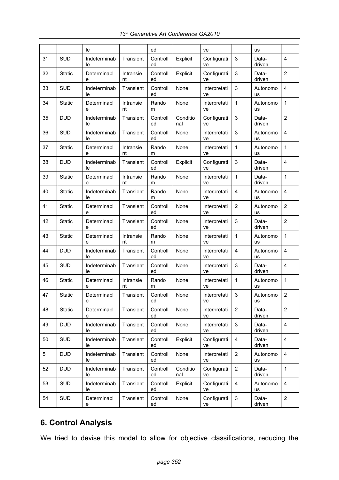|    |               | le                 |                 | ed             |                 | ve                 |                         | us                    |                         |
|----|---------------|--------------------|-----------------|----------------|-----------------|--------------------|-------------------------|-----------------------|-------------------------|
| 31 | SUD           | Indeterminab<br>le | Transient       | Controll<br>ed | Explicit        | Configurati<br>ve  | 3                       | Data-<br>driven       | 4                       |
| 32 | <b>Static</b> | Determinabl<br>е   | Intransie<br>nt | Controll<br>ed | Explicit        | Configurati<br>ve  | 3                       | Data-<br>driven       | $\overline{2}$          |
| 33 | <b>SUD</b>    | Indeterminab<br>le | Transient       | Controll<br>ed | None            | Interpretati<br>ve | 3                       | Autonomo<br>us        | 4                       |
| 34 | <b>Static</b> | Determinabl<br>е   | Intransie<br>nt | Rando<br>m     | None            | Interpretati<br>ve | 1                       | Autonomo<br>us        | $\mathbf{1}$            |
| 35 | <b>DUD</b>    | Indeterminab<br>le | Transient       | Controll<br>ed | Conditio<br>nal | Configurati<br>ve  | 3                       | Data-<br>driven       | $\overline{2}$          |
| 36 | SUD           | Indeterminab<br>le | Transient       | Controll<br>ed | None            | Interpretati<br>ve | 3                       | Autonomo<br>us        | 4                       |
| 37 | Static        | Determinabl<br>е   | Intransie<br>nt | Rando<br>m     | None            | Interpretati<br>ve | $\mathbf{1}$            | Autonomo<br>us        | $\mathbf{1}$            |
| 38 | <b>DUD</b>    | Indeterminab<br>le | Transient       | Controll<br>ed | Explicit        | Configurati<br>ve  | 3                       | Data-<br>driven       | $\overline{\mathbf{4}}$ |
| 39 | Static        | Determinabl<br>е   | Intransie<br>nt | Rando<br>m     | None            | Interpretati<br>ve | $\mathbf{1}$            | Data-<br>driven       | 1                       |
| 40 | Static        | Indeterminab<br>le | Transient       | Rando<br>m     | None            | Interpretati<br>ve | $\overline{\mathbf{4}}$ | Autonomo<br>us        | $\overline{\mathbf{4}}$ |
| 41 | Static        | Determinabl<br>е   | Transient       | Controll<br>ed | None            | Interpretati<br>ve | $\overline{2}$          | Autonomo<br>us        | $\overline{2}$          |
| 42 | Static        | Determinabl<br>е   | Transient       | Controll<br>ed | None            | Interpretati<br>ve | 3                       | Data-<br>driven       | $\overline{2}$          |
| 43 | Static        | Determinabl<br>е   | Intransie<br>nt | Rando<br>m     | None            | Interpretati<br>ve | $\mathbf{1}$            | Autonomo<br>us        | $\mathbf{1}$            |
| 44 | <b>DUD</b>    | Indeterminab<br>le | Transient       | Controll<br>ed | None            | Interpretati<br>ve | $\overline{4}$          | Autonomo<br>us        | $\overline{\mathbf{4}}$ |
| 45 | SUD           | Indeterminab<br>le | Transient       | Controll<br>ed | None            | Interpretati<br>ve | 3                       | Data-<br>driven       | $\overline{\mathbf{4}}$ |
| 46 | Static        | Determinabl<br>е   | Intransie<br>nt | Rando<br>m     | None            | Interpretati<br>ve | 1                       | Autonomo<br>us        | $\mathbf{1}$            |
| 47 | Static        | Determinabl<br>е   | Transient       | Controll<br>ed | None            | Interpretati<br>ve | 3                       | Autonomo<br>us        | $\overline{2}$          |
| 48 | Static        | Determinabl<br>е   | Transient       | Controll<br>ed | None            | Interpretati<br>ve | $\overline{2}$          | Data-<br>driven       | $\overline{2}$          |
| 49 | <b>DUD</b>    | Indeterminab<br>le | Transient       | Controll<br>ed | None            | Interpretati<br>ve | $\mathfrak{S}$          | Data-<br>driven       | $\overline{4}$          |
| 50 | <b>SUD</b>    | Indeterminab<br>le | Transient       | Controll<br>ed | Explicit        | Configurati<br>ve  | $\overline{4}$          | Data-<br>driven       | $\overline{4}$          |
| 51 | <b>DUD</b>    | Indeterminab<br>le | Transient       | Controll<br>ed | None            | Interpretati<br>ve | $\mathbf{2}$            | Autonomo<br><b>us</b> | $\overline{4}$          |
| 52 | <b>DUD</b>    | Indeterminab<br>le | Transient       | Controll<br>ed | Conditio<br>nal | Configurati<br>ve  | $\overline{2}$          | Data-<br>driven       | $\mathbf{1}$            |
| 53 | <b>SUD</b>    | Indeterminab<br>le | Transient       | Controll<br>ed | Explicit        | Configurati<br>ve  | $\overline{4}$          | Autonomo<br>us        | $\overline{4}$          |
| 54 | <b>SUD</b>    | Determinabl<br>е   | Transient       | Controll<br>ed | None            | Configurati<br>ve  | $\mathfrak{S}$          | Data-<br>driven       | $\overline{2}$          |

# **6. Control Analysis**

We tried to devise this model to allow for objective classifications, reducing the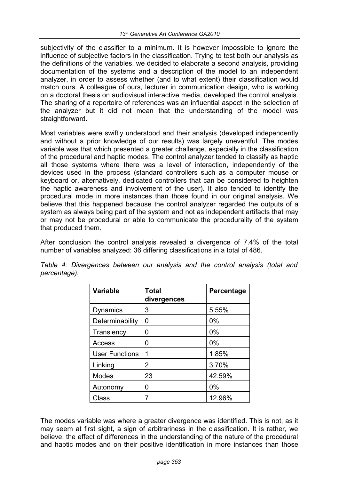subjectivity of the classifier to a minimum. It is however impossible to ignore the influence of subjective factors in the classification. Trying to test both our analysis as the definitions of the variables, we decided to elaborate a second analysis, providing documentation of the systems and a description of the model to an independent analyzer, in order to assess whether (and to what extent) their classification would match ours. A colleague of ours, lecturer in communication design, who is working on a doctoral thesis on audiovisual interactive media, developed the control analysis. The sharing of a repertoire of references was an influential aspect in the selection of the analyzer but it did not mean that the understanding of the model was straightforward.

Most variables were swiftly understood and their analysis (developed independently and without a prior knowledge of our results) was largely uneventful. The modes variable was that which presented a greater challenge, especially in the classification of the procedural and haptic modes. The control analyzer tended to classify as haptic all those systems where there was a level of interaction, independently of the devices used in the process (standard controllers such as a computer mouse or keyboard or, alternatively, dedicated controllers that can be considered to heighten the haptic awareness and involvement of the user). It also tended to identify the procedural mode in more instances than those found in our original analysis. We believe that this happened because the control analyzer regarded the outputs of a system as always being part of the system and not as independent artifacts that may or may not be procedural or able to communicate the procedurality of the system that produced them.

After conclusion the control analysis revealed a divergence of 7.4% of the total number of variables analyzed: 36 differing classifications in a total of 486.

| <b>Variable</b>       | <b>Total</b><br>divergences | Percentage |
|-----------------------|-----------------------------|------------|
| Dynamics              | 3                           | 5.55%      |
| Determinability       | 0                           | $0\%$      |
| Transiency            | 0                           | 0%         |
| Access                | 0                           | 0%         |
| <b>User Functions</b> | 1                           | 1.85%      |
| Linking               | 2                           | 3.70%      |
| <b>Modes</b>          | 23                          | 42.59%     |
| Autonomy              | 0                           | 0%         |
| Class                 | 7                           | 12.96%     |

*Table 4: Divergences between our analysis and the control analysis (total and percentage).*

The modes variable was where a greater divergence was identified. This is not, as it may seem at first sight, a sign of arbitrariness in the classification. It is rather, we believe, the effect of differences in the understanding of the nature of the procedural and haptic modes and on their positive identification in more instances than those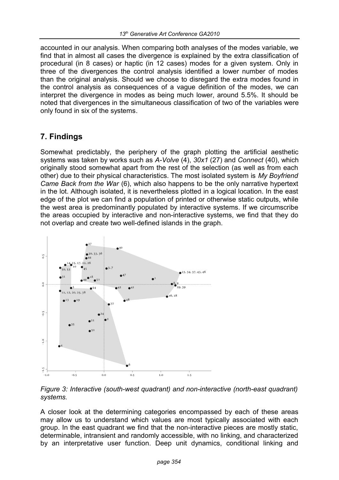accounted in our analysis. When comparing both analyses of the modes variable, we find that in almost all cases the divergence is explained by the extra classification of procedural (in 8 cases) or haptic (in 12 cases) modes for a given system. Only in three of the divergences the control analysis identified a lower number of modes than the original analysis. Should we choose to disregard the extra modes found in the control analysis as consequences of a vague definition of the modes, we can interpret the divergence in modes as being much lower, around 5.5%. It should be noted that divergences in the simultaneous classification of two of the variables were only found in six of the systems.

# **7. Findings**

Somewhat predictably, the periphery of the graph plotting the artificial aesthetic systems was taken by works such as *A-Volve* (4), *30x1* (27) and *Connect* (40), which originally stood somewhat apart from the rest of the selection (as well as from each other) due to their physical characteristics. The most isolated system is *My Boyfriend Came Back from the War* (6), which also happens to be the only narrative hypertext in the lot. Although isolated, it is nevertheless plotted in a logical location. In the east edge of the plot we can find a population of printed or otherwise static outputs, while the west area is predominantly populated by interactive systems. If we circumscribe the areas occupied by interactive and non-interactive systems, we find that they do not overlap and create two well-defined islands in the graph.



*Figure 3: Interactive (south-west quadrant) and non-interactive (north-east quadrant) systems.*

A closer look at the determining categories encompassed by each of these areas may allow us to understand which values are most typically associated with each group. In the east quadrant we find that the non-interactive pieces are mostly static, determinable, intransient and randomly accessible, with no linking, and characterized by an interpretative user function. Deep unit dynamics, conditional linking and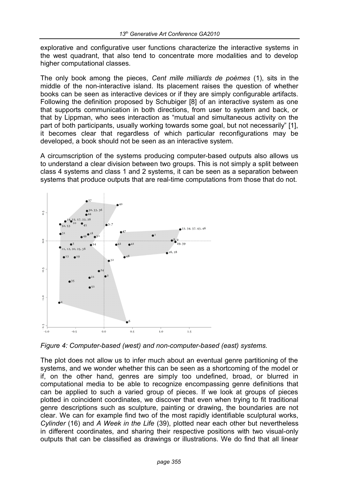explorative and configurative user functions characterize the interactive systems in the west quadrant, that also tend to concentrate more modalities and to develop higher computational classes.

The only book among the pieces, *Cent mille milliards de poèmes* (1), sits in the middle of the non-interactive island. Its placement raises the question of whether books can be seen as interactive devices or if they are simply configurable artifacts. Following the definition proposed by Schubiger [8] of an interactive system as one that supports communication in both directions, from user to system and back, or that by Lippman, who sees interaction as "mutual and simultaneous activity on the part of both participants, usually working towards some goal, but not necessarily" [1], it becomes clear that regardless of which particular reconfigurations may be developed, a book should not be seen as an interactive system.

A circumscription of the systems producing computer-based outputs also allows us to understand a clear division between two groups. This is not simply a split between class 4 systems and class 1 and 2 systems, it can be seen as a separation between systems that produce outputs that are real-time computations from those that do not.



*Figure 4: Computer-based (west) and non-computer-based (east) systems.*

The plot does not allow us to infer much about an eventual genre partitioning of the systems, and we wonder whether this can be seen as a shortcoming of the model or if, on the other hand, genres are simply too undefined, broad, or blurred in computational media to be able to recognize encompassing genre definitions that can be applied to such a varied group of pieces. If we look at groups of pieces plotted in coincident coordinates, we discover that even when trying to fit traditional genre descriptions such as sculpture, painting or drawing, the boundaries are not clear. We can for example find two of the most rapidly identifiable sculptural works, *Cylinder* (16) and *A Week in the Life* (39), plotted near each other but nevertheless in different coordinates, and sharing their respective positions with two visual-only outputs that can be classified as drawings or illustrations. We do find that all linear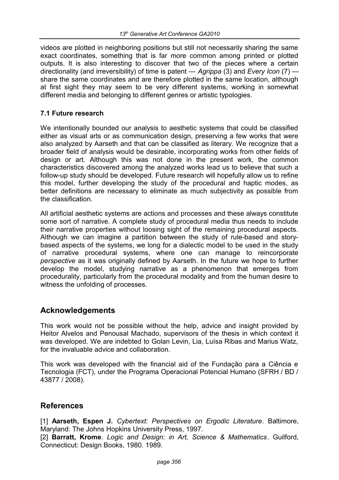videos are plotted in neighboring positions but still not necessarily sharing the same exact coordinates, something that is far more common among printed or plotted outputs. It is also interesting to discover that two of the pieces where a certain directionality (and irreversibility) of time is patent — *Agrippa* (3) and *Every Icon* (7) share the same coordinates and are therefore plotted in the same location, although at first sight they may seem to be very different systems, working in somewhat different media and belonging to different genres or artistic typologies.

#### **7.1 Future research**

We intentionally bounded our analysis to aesthetic systems that could be classified either as visual arts or as communication design, preserving a few works that were also analyzed by Aarseth and that can be classified as literary. We recognize that a broader field of analysis would be desirable, incorporating works from other fields of design or art. Although this was not done in the present work, the common characteristics discovered among the analyzed works lead us to believe that such a follow-up study should be developed. Future research will hopefully allow us to refine this model, further developing the study of the procedural and haptic modes, as better definitions are necessary to eliminate as much subjectivity as possible from the classification.

All artificial aesthetic systems are actions and processes and these always constitute some sort of narrative. A complete study of procedural media thus needs to include their narrative properties without loosing sight of the remaining procedural aspects. Although we can imagine a partition between the study of rule-based and storybased aspects of the systems, we long for a dialectic model to be used in the study of narrative procedural systems, where one can manage to reincorporate *perspective* as it was originally defined by Aarseth. In the future we hope to further develop the model, studying narrative as a phenomenon that emerges from procedurality, particularly from the procedural modality and from the human desire to witness the unfolding of processes.

### **Acknowledgements**

This work would not be possible without the help, advice and insight provided by Heitor Alvelos and Penousal Machado, supervisors of the thesis in which context it was developed. We are indebted to Golan Levin, Lia, Luísa Ribas and Marius Watz, for the invaluable advice and collaboration.

This work was developed with the financial aid of the Fundação para a Ciência e Tecnologia (FCT), under the Programa Operacional Potencial Humano (SFRH / BD / 43877 / 2008).

#### **References**

[1] **Aarseth, Espen J.** *Cybertext: Perspectives on Ergodic Literature*. Baltimore, Maryland: The Johns Hopkins University Press, 1997.

[2] **Barratt, Krome**. *Logic and Design: in Art, Science & Mathematics*. Guilford, Connecticut: Design Books, 1980. 1989.